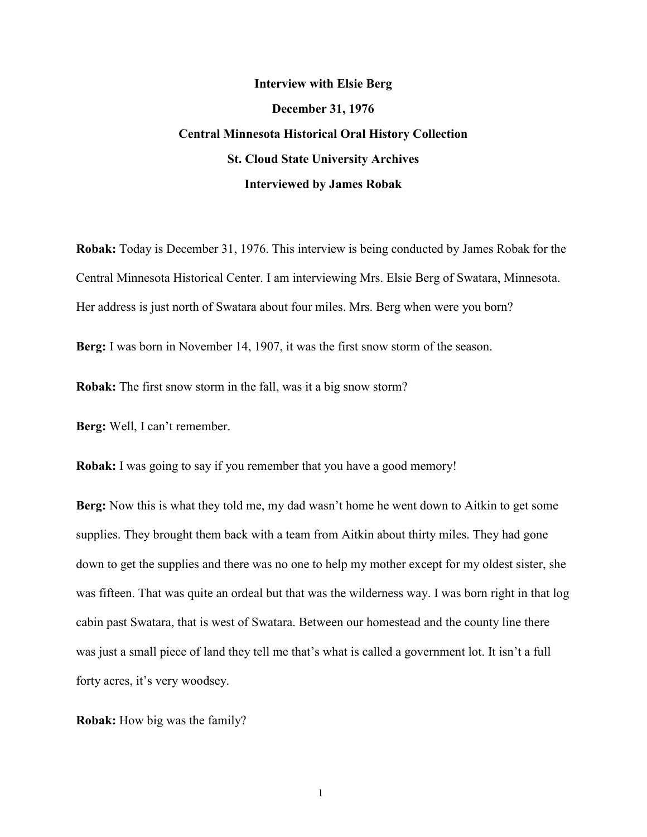# **Interview with Elsie Berg December 31, 1976 Central Minnesota Historical Oral History Collection St. Cloud State University Archives Interviewed by James Robak**

**Robak:** Today is December 31, 1976. This interview is being conducted by James Robak for the Central Minnesota Historical Center. I am interviewing Mrs. Elsie Berg of Swatara, Minnesota. Her address is just north of Swatara about four miles. Mrs. Berg when were you born?

**Berg:** I was born in November 14, 1907, it was the first snow storm of the season.

**Robak:** The first snow storm in the fall, was it a big snow storm?

**Berg:** Well, I can't remember.

**Robak:** I was going to say if you remember that you have a good memory!

**Berg:** Now this is what they told me, my dad wasn't home he went down to Aitkin to get some supplies. They brought them back with a team from Aitkin about thirty miles. They had gone down to get the supplies and there was no one to help my mother except for my oldest sister, she was fifteen. That was quite an ordeal but that was the wilderness way. I was born right in that log cabin past Swatara, that is west of Swatara. Between our homestead and the county line there was just a small piece of land they tell me that's what is called a government lot. It isn't a full forty acres, it's very woodsey.

**Robak:** How big was the family?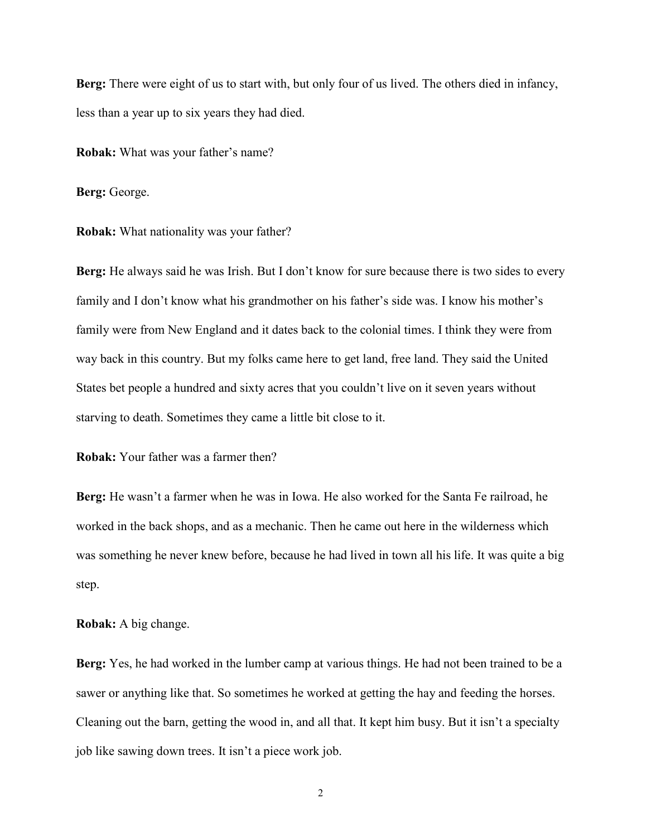**Berg:** There were eight of us to start with, but only four of us lived. The others died in infancy, less than a year up to six years they had died.

**Robak:** What was your father's name?

**Berg:** George.

**Robak:** What nationality was your father?

**Berg:** He always said he was Irish. But I don't know for sure because there is two sides to every family and I don't know what his grandmother on his father's side was. I know his mother's family were from New England and it dates back to the colonial times. I think they were from way back in this country. But my folks came here to get land, free land. They said the United States bet people a hundred and sixty acres that you couldn't live on it seven years without starving to death. Sometimes they came a little bit close to it.

**Robak:** Your father was a farmer then?

**Berg:** He wasn't a farmer when he was in Iowa. He also worked for the Santa Fe railroad, he worked in the back shops, and as a mechanic. Then he came out here in the wilderness which was something he never knew before, because he had lived in town all his life. It was quite a big step.

**Robak:** A big change.

**Berg:** Yes, he had worked in the lumber camp at various things. He had not been trained to be a sawer or anything like that. So sometimes he worked at getting the hay and feeding the horses. Cleaning out the barn, getting the wood in, and all that. It kept him busy. But it isn't a specialty job like sawing down trees. It isn't a piece work job.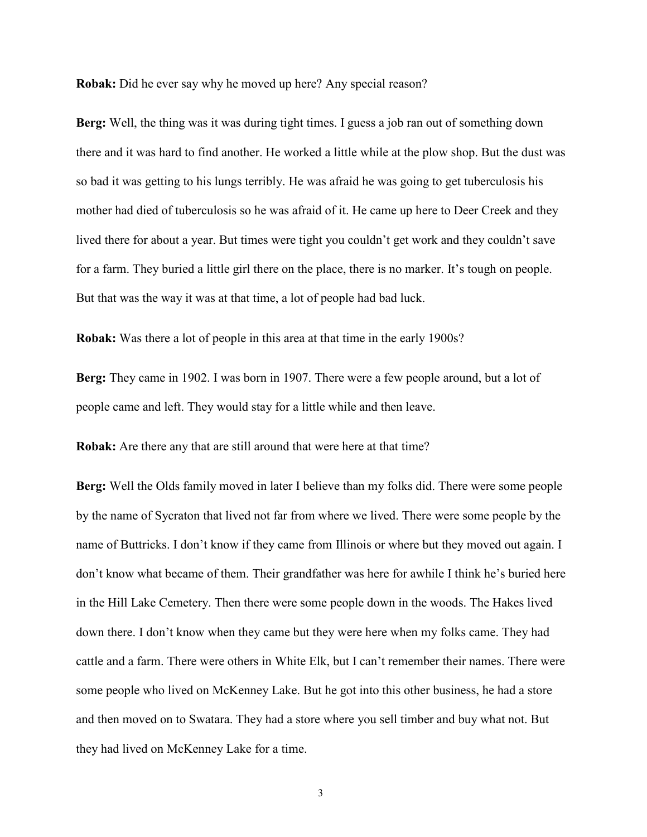**Robak:** Did he ever say why he moved up here? Any special reason?

**Berg:** Well, the thing was it was during tight times. I guess a job ran out of something down there and it was hard to find another. He worked a little while at the plow shop. But the dust was so bad it was getting to his lungs terribly. He was afraid he was going to get tuberculosis his mother had died of tuberculosis so he was afraid of it. He came up here to Deer Creek and they lived there for about a year. But times were tight you couldn't get work and they couldn't save for a farm. They buried a little girl there on the place, there is no marker. It's tough on people. But that was the way it was at that time, a lot of people had bad luck.

**Robak:** Was there a lot of people in this area at that time in the early 1900s?

**Berg:** They came in 1902. I was born in 1907. There were a few people around, but a lot of people came and left. They would stay for a little while and then leave.

**Robak:** Are there any that are still around that were here at that time?

**Berg:** Well the Olds family moved in later I believe than my folks did. There were some people by the name of Sycraton that lived not far from where we lived. There were some people by the name of Buttricks. I don't know if they came from Illinois or where but they moved out again. I don't know what became of them. Their grandfather was here for awhile I think he's buried here in the Hill Lake Cemetery. Then there were some people down in the woods. The Hakes lived down there. I don't know when they came but they were here when my folks came. They had cattle and a farm. There were others in White Elk, but I can't remember their names. There were some people who lived on McKenney Lake. But he got into this other business, he had a store and then moved on to Swatara. They had a store where you sell timber and buy what not. But they had lived on McKenney Lake for a time.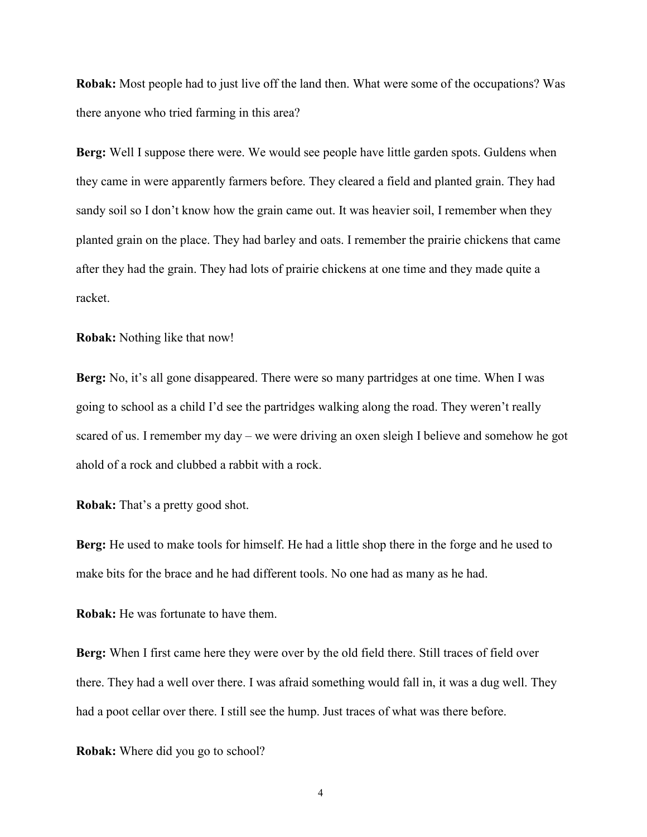**Robak:** Most people had to just live off the land then. What were some of the occupations? Was there anyone who tried farming in this area?

**Berg:** Well I suppose there were. We would see people have little garden spots. Guldens when they came in were apparently farmers before. They cleared a field and planted grain. They had sandy soil so I don't know how the grain came out. It was heavier soil, I remember when they planted grain on the place. They had barley and oats. I remember the prairie chickens that came after they had the grain. They had lots of prairie chickens at one time and they made quite a racket.

**Robak:** Nothing like that now!

**Berg:** No, it's all gone disappeared. There were so many partridges at one time. When I was going to school as a child I'd see the partridges walking along the road. They weren't really scared of us. I remember my day – we were driving an oxen sleigh I believe and somehow he got ahold of a rock and clubbed a rabbit with a rock.

**Robak:** That's a pretty good shot.

**Berg:** He used to make tools for himself. He had a little shop there in the forge and he used to make bits for the brace and he had different tools. No one had as many as he had.

**Robak:** He was fortunate to have them.

**Berg:** When I first came here they were over by the old field there. Still traces of field over there. They had a well over there. I was afraid something would fall in, it was a dug well. They had a poot cellar over there. I still see the hump. Just traces of what was there before.

**Robak:** Where did you go to school?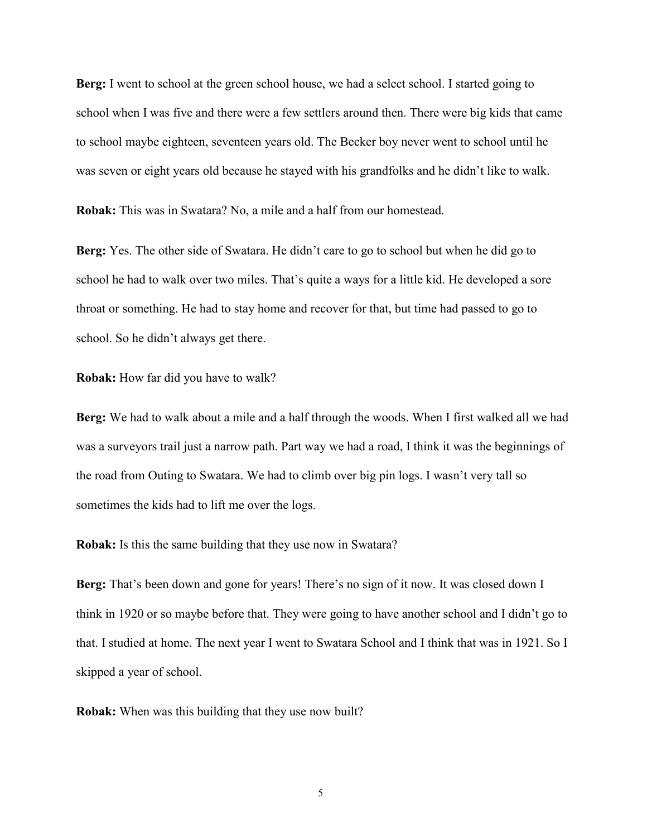**Berg:** I went to school at the green school house, we had a select school. I started going to school when I was five and there were a few settlers around then. There were big kids that came to school maybe eighteen, seventeen years old. The Becker boy never went to school until he was seven or eight years old because he stayed with his grandfolks and he didn't like to walk.

**Robak:** This was in Swatara? No, a mile and a half from our homestead.

**Berg:** Yes. The other side of Swatara. He didn't care to go to school but when he did go to school he had to walk over two miles. That's quite a ways for a little kid. He developed a sore throat or something. He had to stay home and recover for that, but time had passed to go to school. So he didn't always get there.

**Robak:** How far did you have to walk?

**Berg:** We had to walk about a mile and a half through the woods. When I first walked all we had was a surveyors trail just a narrow path. Part way we had a road, I think it was the beginnings of the road from Outing to Swatara. We had to climb over big pin logs. I wasn't very tall so sometimes the kids had to lift me over the logs.

**Robak:** Is this the same building that they use now in Swatara?

**Berg:** That's been down and gone for years! There's no sign of it now. It was closed down I think in 1920 or so maybe before that. They were going to have another school and I didn't go to that. I studied at home. The next year I went to Swatara School and I think that was in 1921. So I skipped a year of school.

**Robak:** When was this building that they use now built?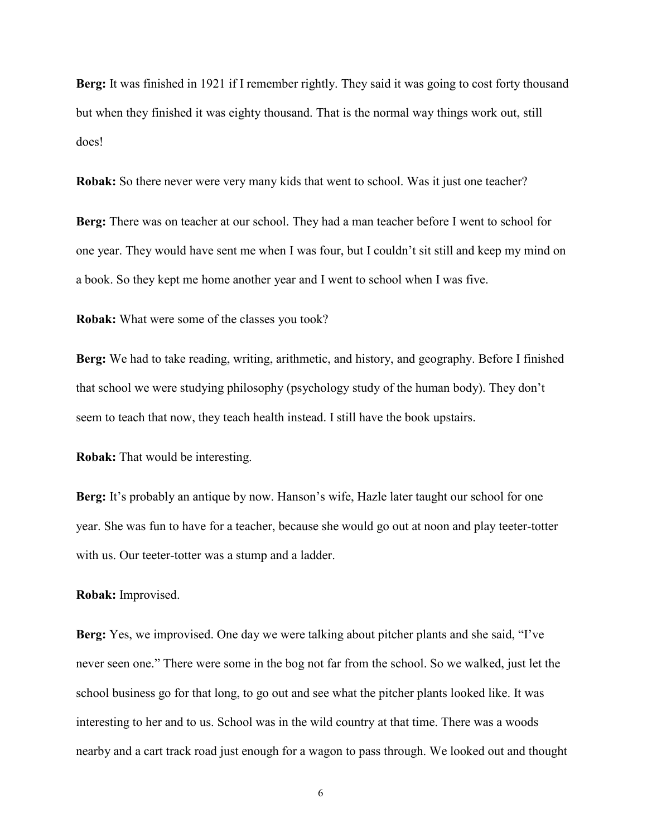**Berg:** It was finished in 1921 if I remember rightly. They said it was going to cost forty thousand but when they finished it was eighty thousand. That is the normal way things work out, still does!

**Robak:** So there never were very many kids that went to school. Was it just one teacher?

**Berg:** There was on teacher at our school. They had a man teacher before I went to school for one year. They would have sent me when I was four, but I couldn't sit still and keep my mind on a book. So they kept me home another year and I went to school when I was five.

**Robak:** What were some of the classes you took?

**Berg:** We had to take reading, writing, arithmetic, and history, and geography. Before I finished that school we were studying philosophy (psychology study of the human body). They don't seem to teach that now, they teach health instead. I still have the book upstairs.

**Robak:** That would be interesting.

**Berg:** It's probably an antique by now. Hanson's wife, Hazle later taught our school for one year. She was fun to have for a teacher, because she would go out at noon and play teeter-totter with us. Our teeter-totter was a stump and a ladder.

## **Robak:** Improvised.

**Berg:** Yes, we improvised. One day we were talking about pitcher plants and she said, "I've never seen one." There were some in the bog not far from the school. So we walked, just let the school business go for that long, to go out and see what the pitcher plants looked like. It was interesting to her and to us. School was in the wild country at that time. There was a woods nearby and a cart track road just enough for a wagon to pass through. We looked out and thought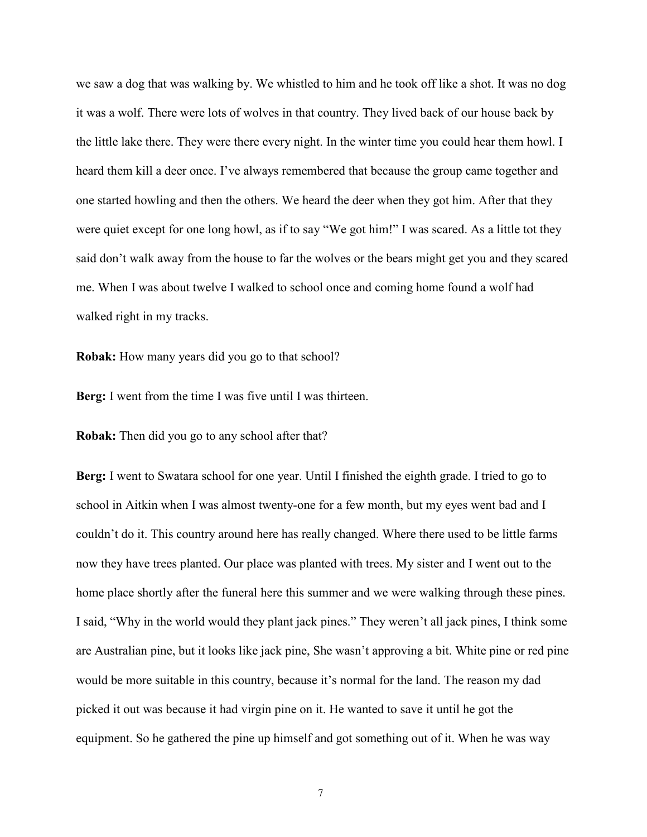we saw a dog that was walking by. We whistled to him and he took off like a shot. It was no dog it was a wolf. There were lots of wolves in that country. They lived back of our house back by the little lake there. They were there every night. In the winter time you could hear them howl. I heard them kill a deer once. I've always remembered that because the group came together and one started howling and then the others. We heard the deer when they got him. After that they were quiet except for one long howl, as if to say "We got him!" I was scared. As a little tot they said don't walk away from the house to far the wolves or the bears might get you and they scared me. When I was about twelve I walked to school once and coming home found a wolf had walked right in my tracks.

**Robak:** How many years did you go to that school?

**Berg:** I went from the time I was five until I was thirteen.

**Robak:** Then did you go to any school after that?

**Berg:** I went to Swatara school for one year. Until I finished the eighth grade. I tried to go to school in Aitkin when I was almost twenty-one for a few month, but my eyes went bad and I couldn't do it. This country around here has really changed. Where there used to be little farms now they have trees planted. Our place was planted with trees. My sister and I went out to the home place shortly after the funeral here this summer and we were walking through these pines. I said, "Why in the world would they plant jack pines." They weren't all jack pines, I think some are Australian pine, but it looks like jack pine, She wasn't approving a bit. White pine or red pine would be more suitable in this country, because it's normal for the land. The reason my dad picked it out was because it had virgin pine on it. He wanted to save it until he got the equipment. So he gathered the pine up himself and got something out of it. When he was way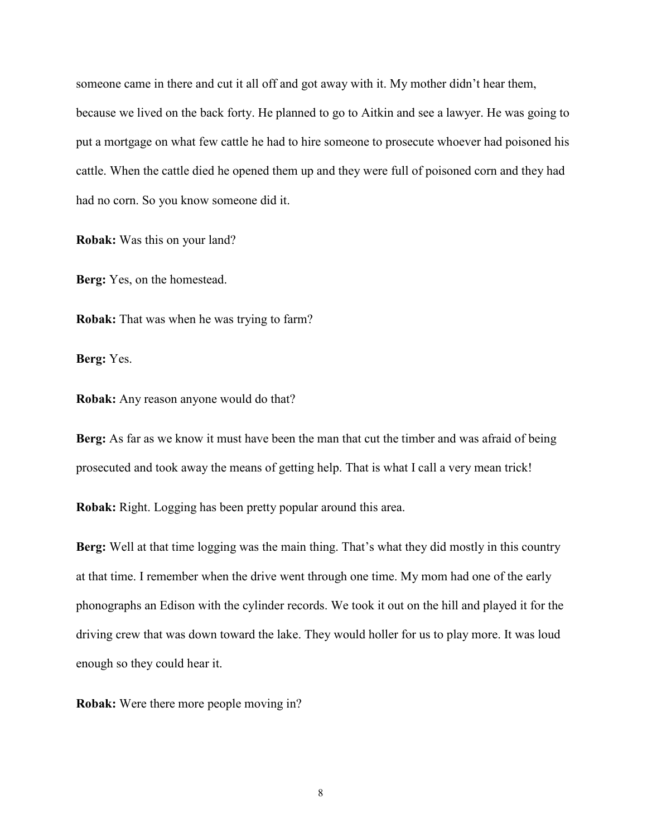someone came in there and cut it all off and got away with it. My mother didn't hear them, because we lived on the back forty. He planned to go to Aitkin and see a lawyer. He was going to put a mortgage on what few cattle he had to hire someone to prosecute whoever had poisoned his cattle. When the cattle died he opened them up and they were full of poisoned corn and they had had no corn. So you know someone did it.

**Robak:** Was this on your land?

**Berg:** Yes, on the homestead.

**Robak:** That was when he was trying to farm?

**Berg:** Yes.

**Robak:** Any reason anyone would do that?

**Berg:** As far as we know it must have been the man that cut the timber and was afraid of being prosecuted and took away the means of getting help. That is what I call a very mean trick!

**Robak:** Right. Logging has been pretty popular around this area.

**Berg:** Well at that time logging was the main thing. That's what they did mostly in this country at that time. I remember when the drive went through one time. My mom had one of the early phonographs an Edison with the cylinder records. We took it out on the hill and played it for the driving crew that was down toward the lake. They would holler for us to play more. It was loud enough so they could hear it.

**Robak:** Were there more people moving in?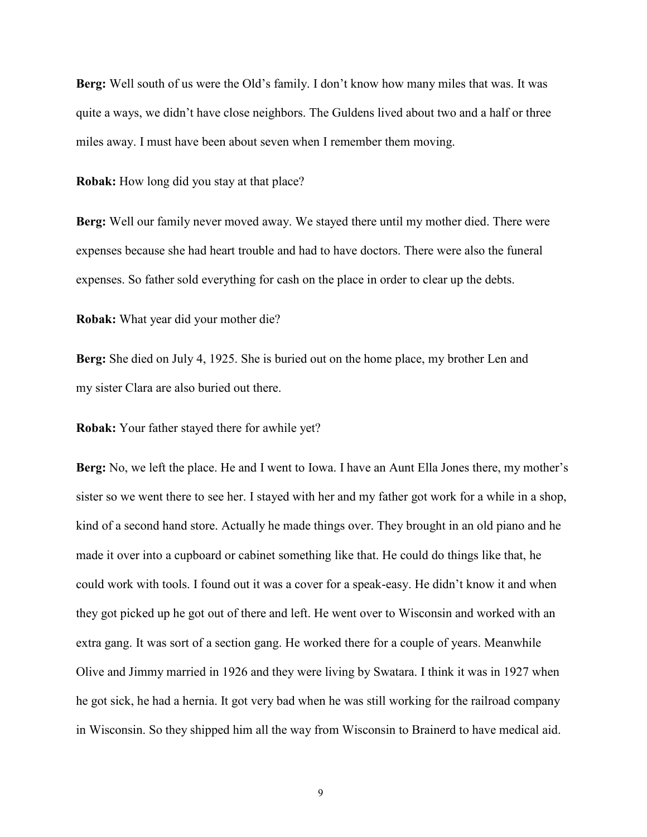**Berg:** Well south of us were the Old's family. I don't know how many miles that was. It was quite a ways, we didn't have close neighbors. The Guldens lived about two and a half or three miles away. I must have been about seven when I remember them moving.

**Robak:** How long did you stay at that place?

**Berg:** Well our family never moved away. We stayed there until my mother died. There were expenses because she had heart trouble and had to have doctors. There were also the funeral expenses. So father sold everything for cash on the place in order to clear up the debts.

**Robak:** What year did your mother die?

**Berg:** She died on July 4, 1925. She is buried out on the home place, my brother Len and my sister Clara are also buried out there.

**Robak:** Your father stayed there for awhile yet?

**Berg:** No, we left the place. He and I went to Iowa. I have an Aunt Ella Jones there, my mother's sister so we went there to see her. I stayed with her and my father got work for a while in a shop, kind of a second hand store. Actually he made things over. They brought in an old piano and he made it over into a cupboard or cabinet something like that. He could do things like that, he could work with tools. I found out it was a cover for a speak-easy. He didn't know it and when they got picked up he got out of there and left. He went over to Wisconsin and worked with an extra gang. It was sort of a section gang. He worked there for a couple of years. Meanwhile Olive and Jimmy married in 1926 and they were living by Swatara. I think it was in 1927 when he got sick, he had a hernia. It got very bad when he was still working for the railroad company in Wisconsin. So they shipped him all the way from Wisconsin to Brainerd to have medical aid.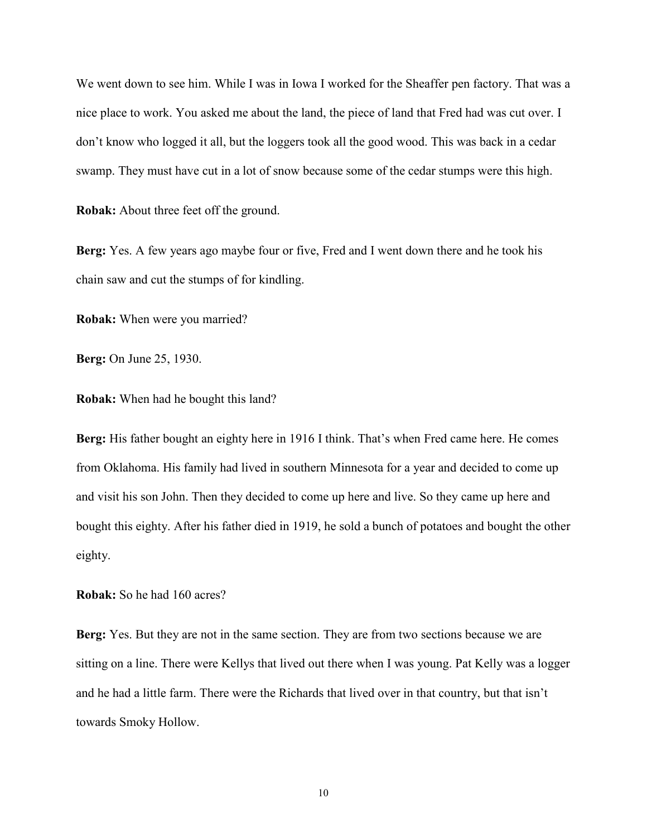We went down to see him. While I was in Iowa I worked for the Sheaffer pen factory. That was a nice place to work. You asked me about the land, the piece of land that Fred had was cut over. I don't know who logged it all, but the loggers took all the good wood. This was back in a cedar swamp. They must have cut in a lot of snow because some of the cedar stumps were this high.

**Robak:** About three feet off the ground.

**Berg:** Yes. A few years ago maybe four or five, Fred and I went down there and he took his chain saw and cut the stumps of for kindling.

**Robak:** When were you married?

**Berg:** On June 25, 1930.

**Robak:** When had he bought this land?

**Berg:** His father bought an eighty here in 1916 I think. That's when Fred came here. He comes from Oklahoma. His family had lived in southern Minnesota for a year and decided to come up and visit his son John. Then they decided to come up here and live. So they came up here and bought this eighty. After his father died in 1919, he sold a bunch of potatoes and bought the other eighty.

**Robak:** So he had 160 acres?

**Berg:** Yes. But they are not in the same section. They are from two sections because we are sitting on a line. There were Kellys that lived out there when I was young. Pat Kelly was a logger and he had a little farm. There were the Richards that lived over in that country, but that isn't towards Smoky Hollow.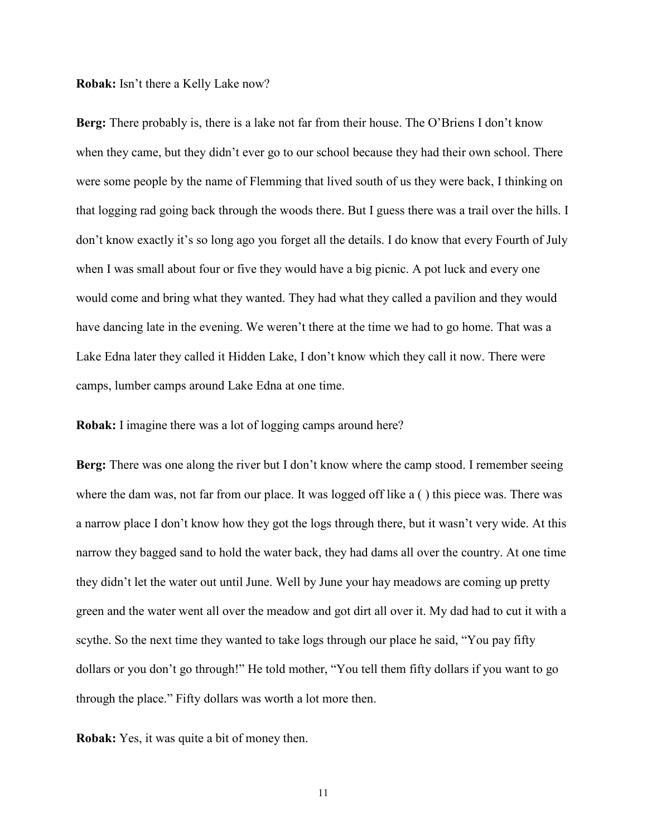**Robak:** Isn't there a Kelly Lake now?

**Berg:** There probably is, there is a lake not far from their house. The O'Briens I don't know when they came, but they didn't ever go to our school because they had their own school. There were some people by the name of Flemming that lived south of us they were back, I thinking on that logging rad going back through the woods there. But I guess there was a trail over the hills. I don't know exactly it's so long ago you forget all the details. I do know that every Fourth of July when I was small about four or five they would have a big picnic. A pot luck and every one would come and bring what they wanted. They had what they called a pavilion and they would have dancing late in the evening. We weren't there at the time we had to go home. That was a Lake Edna later they called it Hidden Lake, I don't know which they call it now. There were camps, lumber camps around Lake Edna at one time.

**Robak:** I imagine there was a lot of logging camps around here?

**Berg:** There was one along the river but I don't know where the camp stood. I remember seeing where the dam was, not far from our place. It was logged off like a () this piece was. There was a narrow place I don't know how they got the logs through there, but it wasn't very wide. At this narrow they bagged sand to hold the water back, they had dams all over the country. At one time they didn't let the water out until June. Well by June your hay meadows are coming up pretty green and the water went all over the meadow and got dirt all over it. My dad had to cut it with a scythe. So the next time they wanted to take logs through our place he said, "You pay fifty dollars or you don't go through!" He told mother, "You tell them fifty dollars if you want to go through the place." Fifty dollars was worth a lot more then.

**Robak:** Yes, it was quite a bit of money then.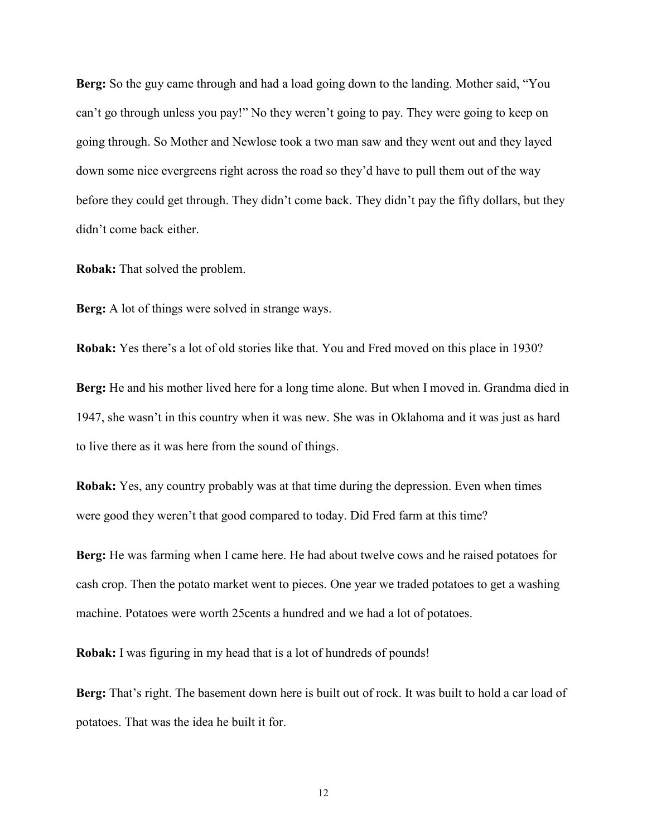**Berg:** So the guy came through and had a load going down to the landing. Mother said, "You can't go through unless you pay!" No they weren't going to pay. They were going to keep on going through. So Mother and Newlose took a two man saw and they went out and they layed down some nice evergreens right across the road so they'd have to pull them out of the way before they could get through. They didn't come back. They didn't pay the fifty dollars, but they didn't come back either.

**Robak:** That solved the problem.

**Berg:** A lot of things were solved in strange ways.

**Robak:** Yes there's a lot of old stories like that. You and Fred moved on this place in 1930?

**Berg:** He and his mother lived here for a long time alone. But when I moved in. Grandma died in 1947, she wasn't in this country when it was new. She was in Oklahoma and it was just as hard to live there as it was here from the sound of things.

**Robak:** Yes, any country probably was at that time during the depression. Even when times were good they weren't that good compared to today. Did Fred farm at this time?

**Berg:** He was farming when I came here. He had about twelve cows and he raised potatoes for cash crop. Then the potato market went to pieces. One year we traded potatoes to get a washing machine. Potatoes were worth 25cents a hundred and we had a lot of potatoes.

**Robak:** I was figuring in my head that is a lot of hundreds of pounds!

**Berg:** That's right. The basement down here is built out of rock. It was built to hold a car load of potatoes. That was the idea he built it for.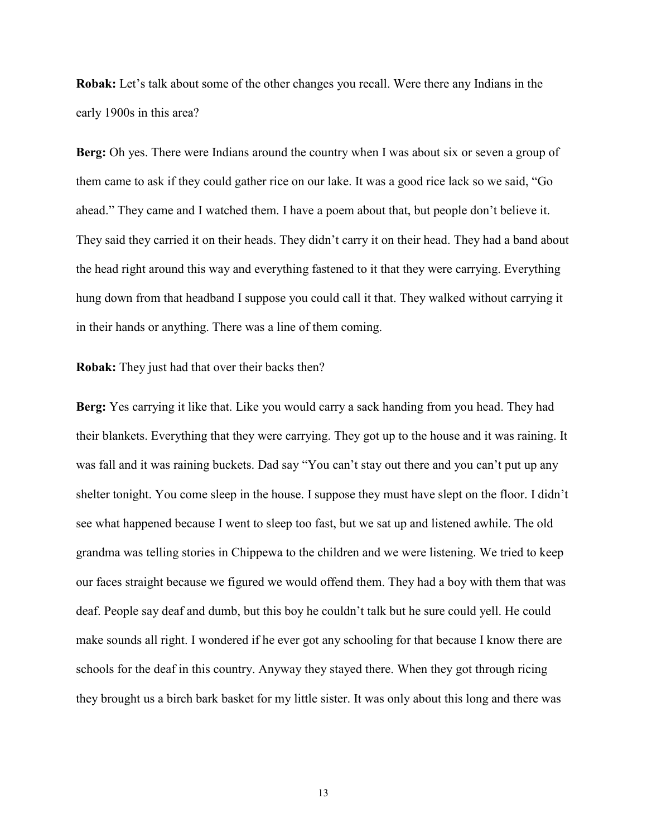**Robak:** Let's talk about some of the other changes you recall. Were there any Indians in the early 1900s in this area?

**Berg:** Oh yes. There were Indians around the country when I was about six or seven a group of them came to ask if they could gather rice on our lake. It was a good rice lack so we said, "Go ahead." They came and I watched them. I have a poem about that, but people don't believe it. They said they carried it on their heads. They didn't carry it on their head. They had a band about the head right around this way and everything fastened to it that they were carrying. Everything hung down from that headband I suppose you could call it that. They walked without carrying it in their hands or anything. There was a line of them coming.

**Robak:** They just had that over their backs then?

**Berg:** Yes carrying it like that. Like you would carry a sack handing from you head. They had their blankets. Everything that they were carrying. They got up to the house and it was raining. It was fall and it was raining buckets. Dad say "You can't stay out there and you can't put up any shelter tonight. You come sleep in the house. I suppose they must have slept on the floor. I didn't see what happened because I went to sleep too fast, but we sat up and listened awhile. The old grandma was telling stories in Chippewa to the children and we were listening. We tried to keep our faces straight because we figured we would offend them. They had a boy with them that was deaf. People say deaf and dumb, but this boy he couldn't talk but he sure could yell. He could make sounds all right. I wondered if he ever got any schooling for that because I know there are schools for the deaf in this country. Anyway they stayed there. When they got through ricing they brought us a birch bark basket for my little sister. It was only about this long and there was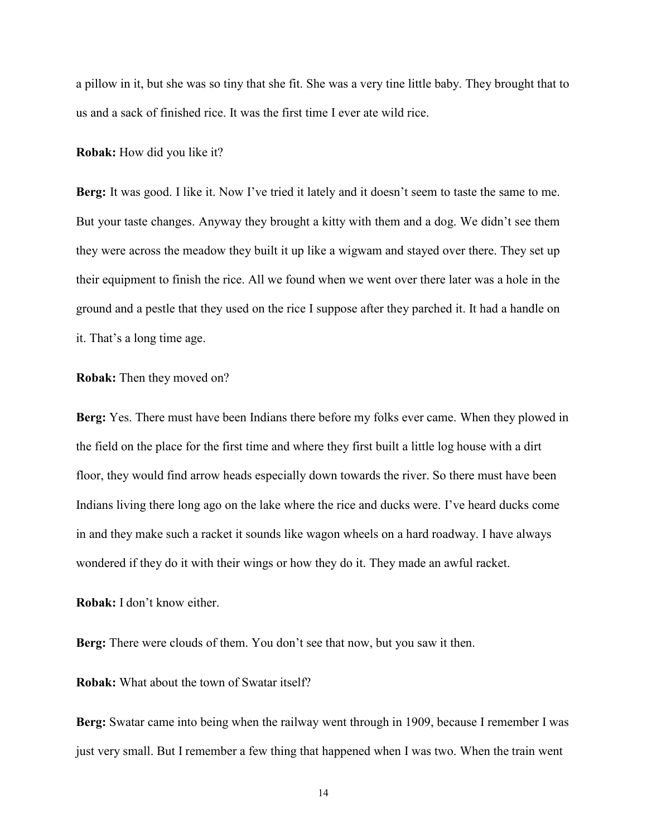a pillow in it, but she was so tiny that she fit. She was a very tine little baby. They brought that to us and a sack of finished rice. It was the first time I ever ate wild rice.

**Robak:** How did you like it?

**Berg:** It was good. I like it. Now I've tried it lately and it doesn't seem to taste the same to me. But your taste changes. Anyway they brought a kitty with them and a dog. We didn't see them they were across the meadow they built it up like a wigwam and stayed over there. They set up their equipment to finish the rice. All we found when we went over there later was a hole in the ground and a pestle that they used on the rice I suppose after they parched it. It had a handle on it. That's a long time age.

**Robak:** Then they moved on?

**Berg:** Yes. There must have been Indians there before my folks ever came. When they plowed in the field on the place for the first time and where they first built a little log house with a dirt floor, they would find arrow heads especially down towards the river. So there must have been Indians living there long ago on the lake where the rice and ducks were. I've heard ducks come in and they make such a racket it sounds like wagon wheels on a hard roadway. I have always wondered if they do it with their wings or how they do it. They made an awful racket.

**Robak:** I don't know either.

**Berg:** There were clouds of them. You don't see that now, but you saw it then.

**Robak:** What about the town of Swatar itself?

**Berg:** Swatar came into being when the railway went through in 1909, because I remember I was just very small. But I remember a few thing that happened when I was two. When the train went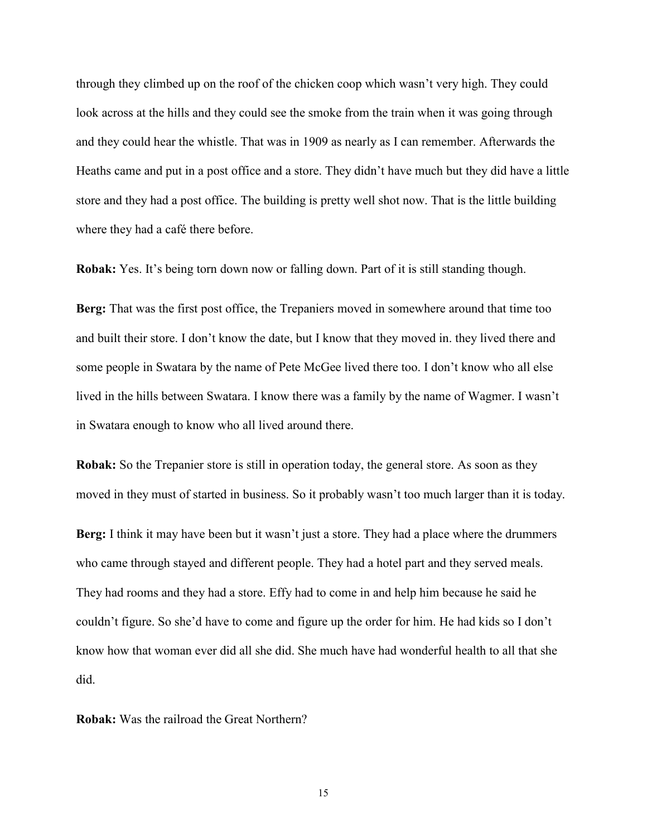through they climbed up on the roof of the chicken coop which wasn't very high. They could look across at the hills and they could see the smoke from the train when it was going through and they could hear the whistle. That was in 1909 as nearly as I can remember. Afterwards the Heaths came and put in a post office and a store. They didn't have much but they did have a little store and they had a post office. The building is pretty well shot now. That is the little building where they had a café there before.

**Robak:** Yes. It's being torn down now or falling down. Part of it is still standing though.

**Berg:** That was the first post office, the Trepaniers moved in somewhere around that time too and built their store. I don't know the date, but I know that they moved in. they lived there and some people in Swatara by the name of Pete McGee lived there too. I don't know who all else lived in the hills between Swatara. I know there was a family by the name of Wagmer. I wasn't in Swatara enough to know who all lived around there.

**Robak:** So the Trepanier store is still in operation today, the general store. As soon as they moved in they must of started in business. So it probably wasn't too much larger than it is today.

**Berg:** I think it may have been but it wasn't just a store. They had a place where the drummers who came through stayed and different people. They had a hotel part and they served meals. They had rooms and they had a store. Effy had to come in and help him because he said he couldn't figure. So she'd have to come and figure up the order for him. He had kids so I don't know how that woman ever did all she did. She much have had wonderful health to all that she did.

**Robak:** Was the railroad the Great Northern?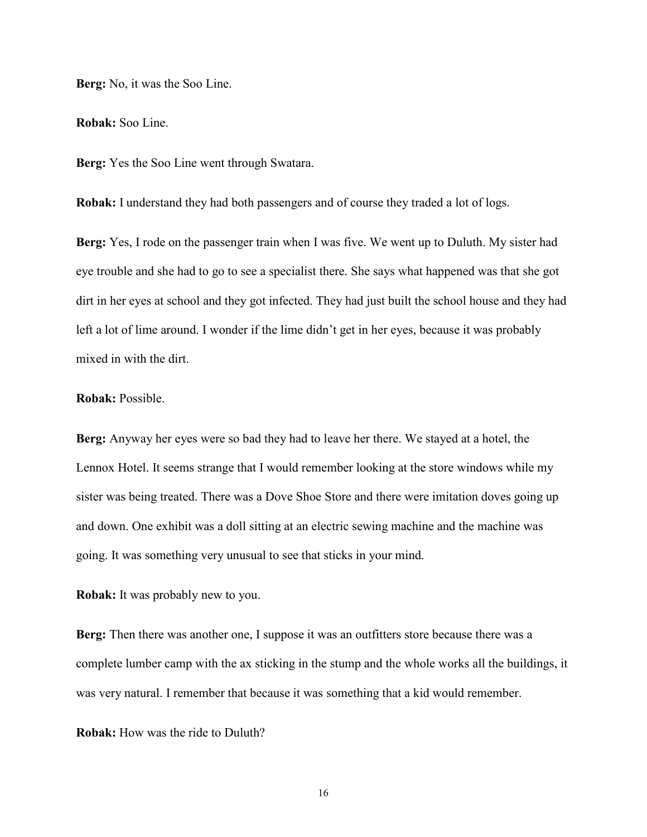**Berg:** No, it was the Soo Line.

**Robak:** Soo Line.

**Berg:** Yes the Soo Line went through Swatara.

**Robak:** I understand they had both passengers and of course they traded a lot of logs.

**Berg:** Yes, I rode on the passenger train when I was five. We went up to Duluth. My sister had eye trouble and she had to go to see a specialist there. She says what happened was that she got dirt in her eyes at school and they got infected. They had just built the school house and they had left a lot of lime around. I wonder if the lime didn't get in her eyes, because it was probably mixed in with the dirt.

## **Robak:** Possible.

**Berg:** Anyway her eyes were so bad they had to leave her there. We stayed at a hotel, the Lennox Hotel. It seems strange that I would remember looking at the store windows while my sister was being treated. There was a Dove Shoe Store and there were imitation doves going up and down. One exhibit was a doll sitting at an electric sewing machine and the machine was going. It was something very unusual to see that sticks in your mind.

**Robak:** It was probably new to you.

Berg: Then there was another one, I suppose it was an outfitters store because there was a complete lumber camp with the ax sticking in the stump and the whole works all the buildings, it was very natural. I remember that because it was something that a kid would remember.

**Robak:** How was the ride to Duluth?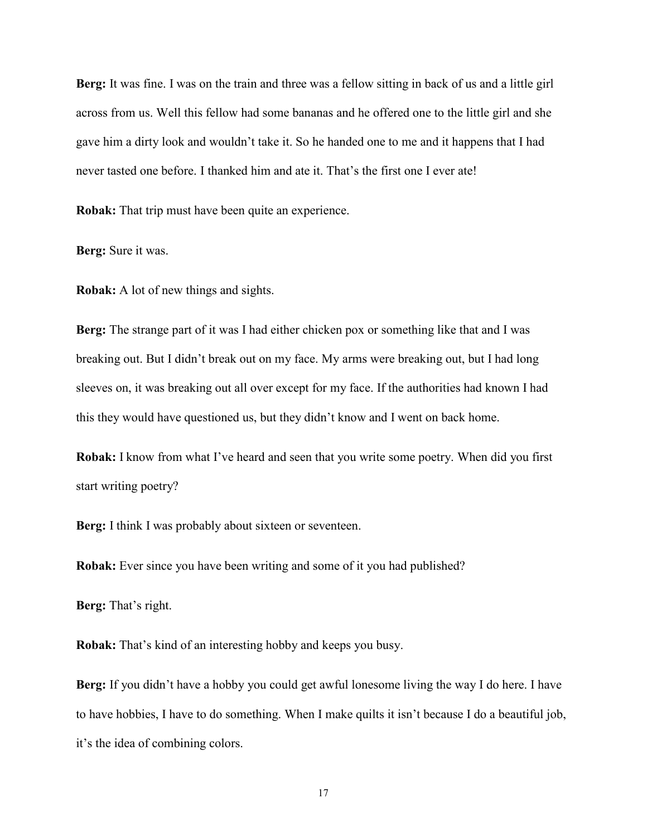**Berg:** It was fine. I was on the train and three was a fellow sitting in back of us and a little girl across from us. Well this fellow had some bananas and he offered one to the little girl and she gave him a dirty look and wouldn't take it. So he handed one to me and it happens that I had never tasted one before. I thanked him and ate it. That's the first one I ever ate!

**Robak:** That trip must have been quite an experience.

**Berg:** Sure it was.

**Robak:** A lot of new things and sights.

**Berg:** The strange part of it was I had either chicken pox or something like that and I was breaking out. But I didn't break out on my face. My arms were breaking out, but I had long sleeves on, it was breaking out all over except for my face. If the authorities had known I had this they would have questioned us, but they didn't know and I went on back home.

**Robak:** I know from what I've heard and seen that you write some poetry. When did you first start writing poetry?

**Berg:** I think I was probably about sixteen or seventeen.

**Robak:** Ever since you have been writing and some of it you had published?

**Berg:** That's right.

**Robak:** That's kind of an interesting hobby and keeps you busy.

**Berg:** If you didn't have a hobby you could get awful lonesome living the way I do here. I have to have hobbies, I have to do something. When I make quilts it isn't because I do a beautiful job, it's the idea of combining colors.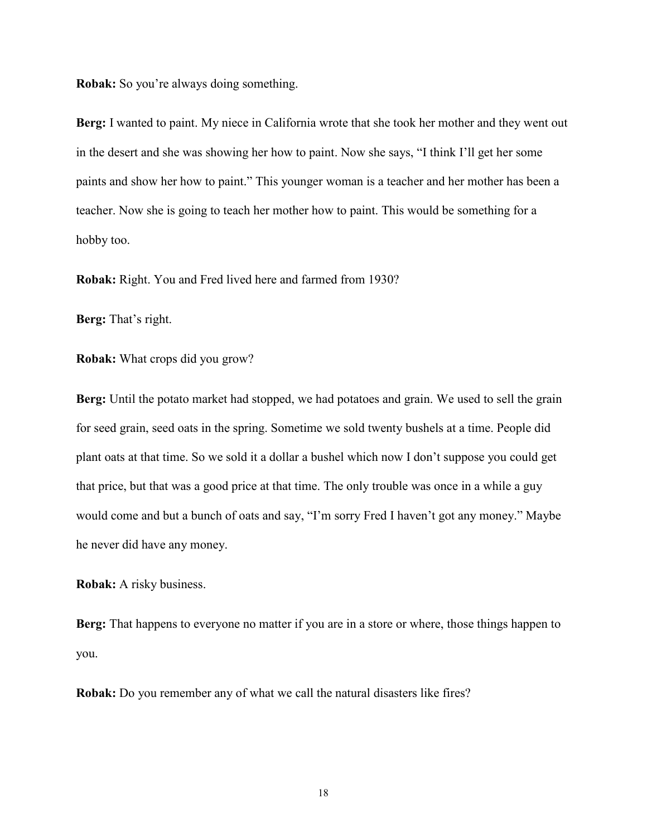**Robak:** So you're always doing something.

**Berg:** I wanted to paint. My niece in California wrote that she took her mother and they went out in the desert and she was showing her how to paint. Now she says, "I think I'll get her some paints and show her how to paint." This younger woman is a teacher and her mother has been a teacher. Now she is going to teach her mother how to paint. This would be something for a hobby too.

**Robak:** Right. You and Fred lived here and farmed from 1930?

**Berg:** That's right.

**Robak:** What crops did you grow?

**Berg:** Until the potato market had stopped, we had potatoes and grain. We used to sell the grain for seed grain, seed oats in the spring. Sometime we sold twenty bushels at a time. People did plant oats at that time. So we sold it a dollar a bushel which now I don't suppose you could get that price, but that was a good price at that time. The only trouble was once in a while a guy would come and but a bunch of oats and say, "I'm sorry Fred I haven't got any money." Maybe he never did have any money.

**Robak:** A risky business.

**Berg:** That happens to everyone no matter if you are in a store or where, those things happen to you.

**Robak:** Do you remember any of what we call the natural disasters like fires?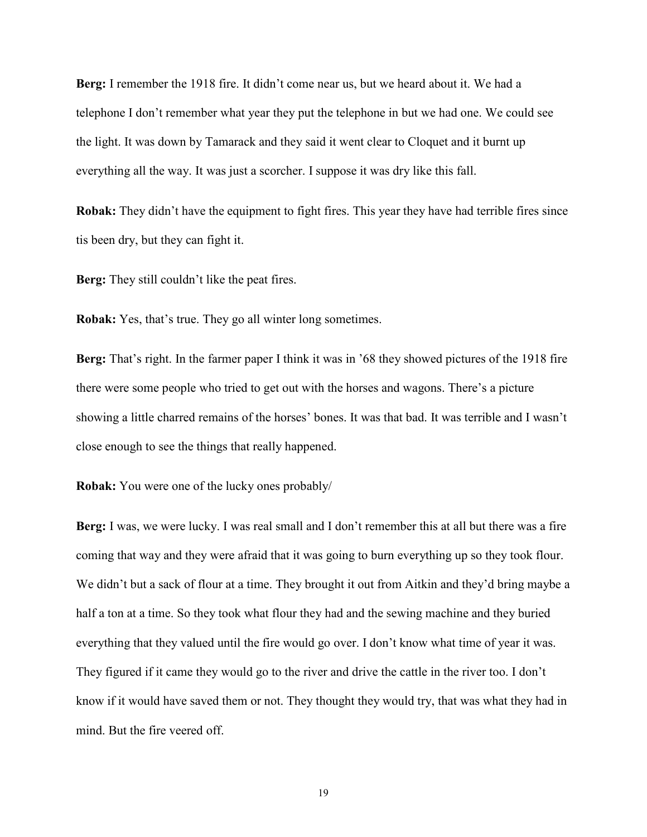**Berg:** I remember the 1918 fire. It didn't come near us, but we heard about it. We had a telephone I don't remember what year they put the telephone in but we had one. We could see the light. It was down by Tamarack and they said it went clear to Cloquet and it burnt up everything all the way. It was just a scorcher. I suppose it was dry like this fall.

**Robak:** They didn't have the equipment to fight fires. This year they have had terrible fires since tis been dry, but they can fight it.

**Berg:** They still couldn't like the peat fires.

**Robak:** Yes, that's true. They go all winter long sometimes.

**Berg:** That's right. In the farmer paper I think it was in '68 they showed pictures of the 1918 fire there were some people who tried to get out with the horses and wagons. There's a picture showing a little charred remains of the horses' bones. It was that bad. It was terrible and I wasn't close enough to see the things that really happened.

**Robak:** You were one of the lucky ones probably/

**Berg:** I was, we were lucky. I was real small and I don't remember this at all but there was a fire coming that way and they were afraid that it was going to burn everything up so they took flour. We didn't but a sack of flour at a time. They brought it out from Aitkin and they'd bring maybe a half a ton at a time. So they took what flour they had and the sewing machine and they buried everything that they valued until the fire would go over. I don't know what time of year it was. They figured if it came they would go to the river and drive the cattle in the river too. I don't know if it would have saved them or not. They thought they would try, that was what they had in mind. But the fire veered off.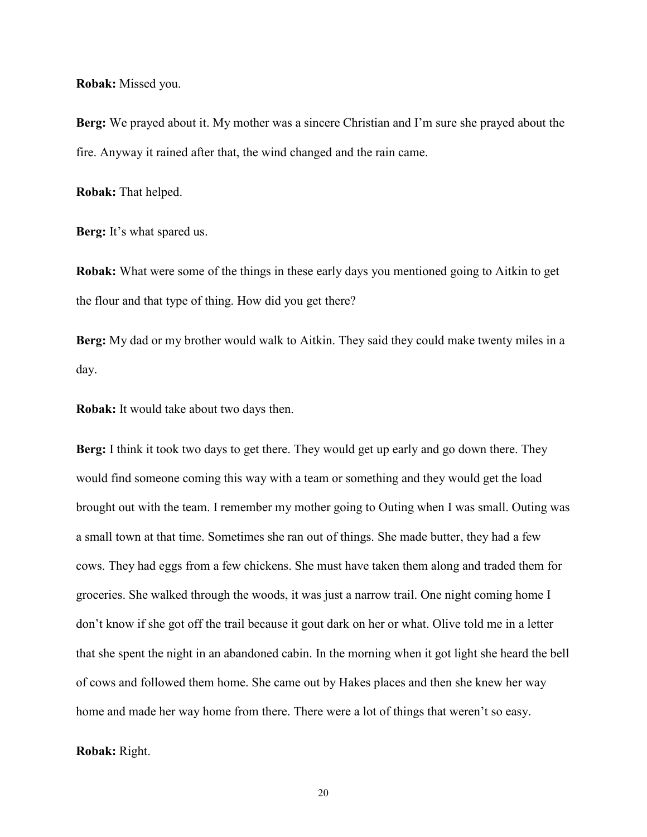#### **Robak:** Missed you.

**Berg:** We prayed about it. My mother was a sincere Christian and I'm sure she prayed about the fire. Anyway it rained after that, the wind changed and the rain came.

**Robak:** That helped.

**Berg:** It's what spared us.

**Robak:** What were some of the things in these early days you mentioned going to Aitkin to get the flour and that type of thing. How did you get there?

**Berg:** My dad or my brother would walk to Aitkin. They said they could make twenty miles in a day.

**Robak:** It would take about two days then.

**Berg:** I think it took two days to get there. They would get up early and go down there. They would find someone coming this way with a team or something and they would get the load brought out with the team. I remember my mother going to Outing when I was small. Outing was a small town at that time. Sometimes she ran out of things. She made butter, they had a few cows. They had eggs from a few chickens. She must have taken them along and traded them for groceries. She walked through the woods, it was just a narrow trail. One night coming home I don't know if she got off the trail because it gout dark on her or what. Olive told me in a letter that she spent the night in an abandoned cabin. In the morning when it got light she heard the bell of cows and followed them home. She came out by Hakes places and then she knew her way home and made her way home from there. There were a lot of things that weren't so easy.

## **Robak:** Right.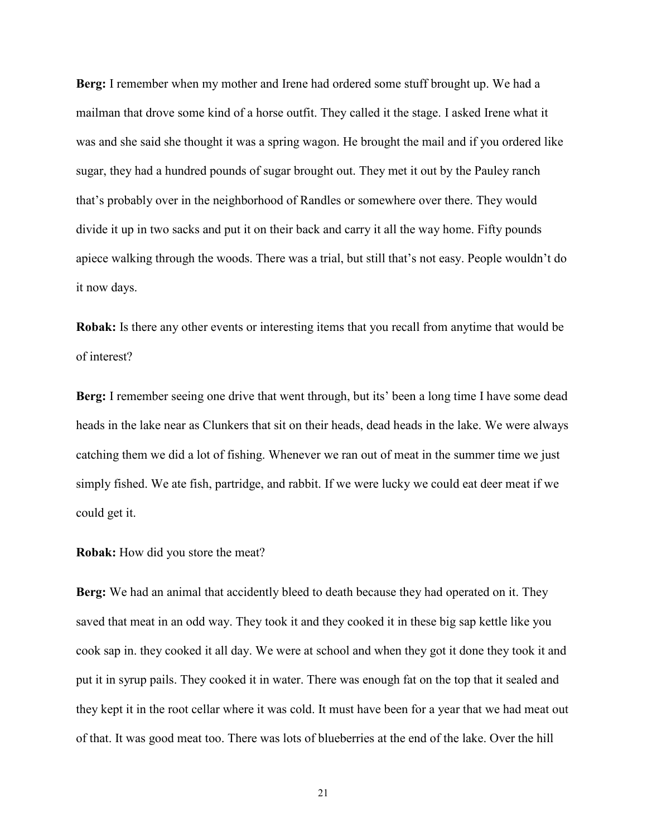**Berg:** I remember when my mother and Irene had ordered some stuff brought up. We had a mailman that drove some kind of a horse outfit. They called it the stage. I asked Irene what it was and she said she thought it was a spring wagon. He brought the mail and if you ordered like sugar, they had a hundred pounds of sugar brought out. They met it out by the Pauley ranch that's probably over in the neighborhood of Randles or somewhere over there. They would divide it up in two sacks and put it on their back and carry it all the way home. Fifty pounds apiece walking through the woods. There was a trial, but still that's not easy. People wouldn't do it now days.

**Robak:** Is there any other events or interesting items that you recall from anytime that would be of interest?

**Berg:** I remember seeing one drive that went through, but its' been a long time I have some dead heads in the lake near as Clunkers that sit on their heads, dead heads in the lake. We were always catching them we did a lot of fishing. Whenever we ran out of meat in the summer time we just simply fished. We ate fish, partridge, and rabbit. If we were lucky we could eat deer meat if we could get it.

## **Robak:** How did you store the meat?

**Berg:** We had an animal that accidently bleed to death because they had operated on it. They saved that meat in an odd way. They took it and they cooked it in these big sap kettle like you cook sap in. they cooked it all day. We were at school and when they got it done they took it and put it in syrup pails. They cooked it in water. There was enough fat on the top that it sealed and they kept it in the root cellar where it was cold. It must have been for a year that we had meat out of that. It was good meat too. There was lots of blueberries at the end of the lake. Over the hill